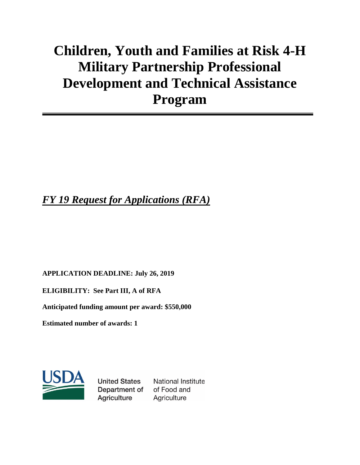# **Children, Youth and Families at Risk 4-H Military Partnership Professional Development and Technical Assistance Program**

# *FY 19 Request for Applications (RFA)*

**APPLICATION DEADLINE: July 26, 2019**

**ELIGIBILITY: See Part III, A of RFA**

**Anticipated funding amount per award: \$550,000**

**Estimated number of awards: 1**



**United States National Institute** Department of of Food and **Agriculture** Agriculture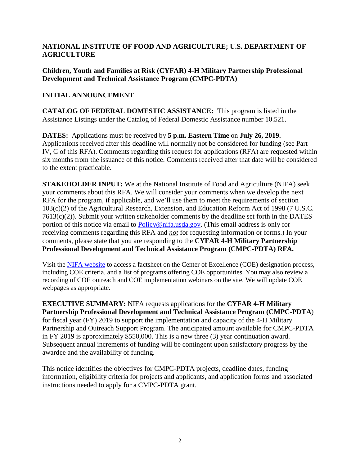#### **NATIONAL INSTITUTE OF FOOD AND AGRICULTURE; U.S. DEPARTMENT OF AGRICULTURE**

**Children, Youth and Families at Risk (CYFAR) 4-H Military Partnership Professional Development and Technical Assistance Program (CMPC-PDTA)**

#### **INITIAL ANNOUNCEMENT**

**CATALOG OF FEDERAL DOMESTIC ASSISTANCE:** This program is listed in the Assistance Listings under the Catalog of Federal Domestic Assistance number 10.521.

**DATES:** Applications must be received by **5 p.m. Eastern Time** on **July 26, 2019.** Applications received after this deadline will normally not be considered for funding (see Part IV, C of this RFA). Comments regarding this request for applications (RFA) are requested within six months from the issuance of this notice. Comments received after that date will be considered to the extent practicable.

**STAKEHOLDER INPUT:** We at the National Institute of Food and Agriculture (NIFA) seek your comments about this RFA. We will consider your comments when we develop the next RFA for the program, if applicable, and we'll use them to meet the requirements of section 103(c)(2) of the Agricultural Research, Extension, and Education Reform Act of 1998 (7 U.S.C. 7613(c)(2)). Submit your written stakeholder comments by the deadline set forth in the DATES portion of this notice via email to [Policy@nifa.usda.gov.](mailto:Policy@nifa.usda.gov) (This email address is only for receiving comments regarding this RFA and *not* for requesting information or forms.) In your comments, please state that you are responding to the **CYFAR 4-H Military Partnership Professional Development and Technical Assistance Program (CMPC-PDTA) RFA.**

Visit the [NIFA website](https://nifa.usda.gov/centers-excellence) to access a factsheet on the Center of Excellence (COE) designation process, including COE criteria, and a list of programs offering COE opportunities. You may also review a recording of COE outreach and COE implementation webinars on the site. We will update COE webpages as appropriate.

**EXECUTIVE SUMMARY:** NIFA requests applications for the **CYFAR 4-H Military Partnership Professional Development and Technical Assistance Program (CMPC-PDTA**) for fiscal year (FY) 2019 to support the implementation and capacity of the 4-H Military Partnership and Outreach Support Program. The anticipated amount available for CMPC-PDTA in FY 2019 is approximately \$550,000. This is a new three (3) year continuation award. Subsequent annual increments of funding will be contingent upon satisfactory progress by the awardee and the availability of funding.

This notice identifies the objectives for CMPC-PDTA projects, deadline dates, funding information, eligibility criteria for projects and applicants, and application forms and associated instructions needed to apply for a CMPC-PDTA grant.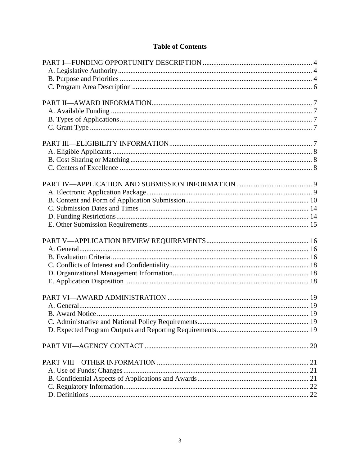# **Table of Contents**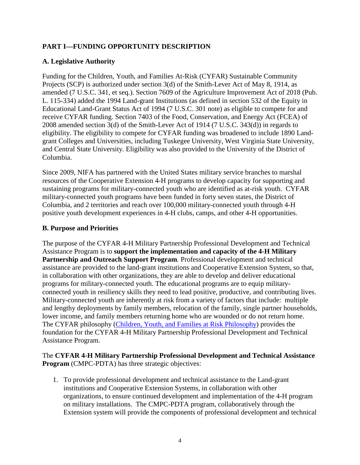# <span id="page-3-0"></span>**PART I—FUNDING OPPORTUNITY DESCRIPTION**

#### <span id="page-3-1"></span>**A. Legislative Authority**

Funding for the Children, Youth, and Families At-Risk (CYFAR) Sustainable Community Projects (SCP) is authorized under section 3(d) of the Smith-Lever Act of May 8, 1914, as amended (7 U.S.C. 341, et seq.). Section 7609 of the Agriculture Improvement Act of 2018 (Pub. L. 115-334) added the 1994 Land-grant Institutions (as defined in section 532 of the Equity in Educational Land-Grant Status Act of 1994 (7 U.S.C. 301 note) as eligible to compete for and receive CYFAR funding. Section 7403 of the Food, Conservation, and Energy Act (FCEA) of 2008 amended section 3(d) of the Smith-Lever Act of 1914 (7 U.S.C. 343(d)) in regards to eligibility. The eligibility to compete for CYFAR funding was broadened to include 1890 Landgrant Colleges and Universities, including Tuskegee University, West Virginia State University, and Central State University. Eligibility was also provided to the University of the District of Columbia.

Since 2009, NIFA has partnered with the United States military service branches to marshal resources of the Cooperative Extension 4-H programs to develop capacity for supporting and sustaining programs for military-connected youth who are identified as at-risk youth. CYFAR military-connected youth programs have been funded in forty seven states, the District of Columbia, and 2 territories and reach over 100,000 military-connected youth through 4-H positive youth development experiences in 4-H clubs, camps, and other 4-H opportunities.

#### <span id="page-3-2"></span>**B. Purpose and Priorities**

The purpose of the CYFAR 4-H Military Partnership Professional Development and Technical Assistance Program is to **support the implementation and capacity of the 4-H Military Partnership and Outreach Support Program**. Professional development and technical assistance are provided to the land-grant institutions and Cooperative Extension System, so that, in collaboration with other organizations, they are able to develop and deliver educational programs for military-connected youth. The educational programs are to equip militaryconnected youth in resiliency skills they need to lead positive, productive, and contributing lives. Military-connected youth are inherently at risk from a variety of factors that include: multiple and lengthy deployments by family members, relocation of the family, single partner households, lower income, and family members returning home who are wounded or do not return home. The CYFAR philosophy [\(Children, Youth, and Families at Risk Philosophy\)](https://nifa.usda.gov/sites/default/files/program/CYFAR-Philosophy-Update-2017.pdf) provides the foundation for the CYFAR 4-H Military Partnership Professional Development and Technical Assistance Program.

#### The **CYFAR 4-H Military Partnership Professional Development and Technical Assistance Program** (CMPC-PDTA) has three strategic objectives:

1. To provide professional development and technical assistance to the Land-grant institutions and Cooperative Extension Systems, in collaboration with other organizations, to ensure continued development and implementation of the 4-H program on military installations. The CMPC-PDTA program, collaboratively through the Extension system will provide the components of professional development and technical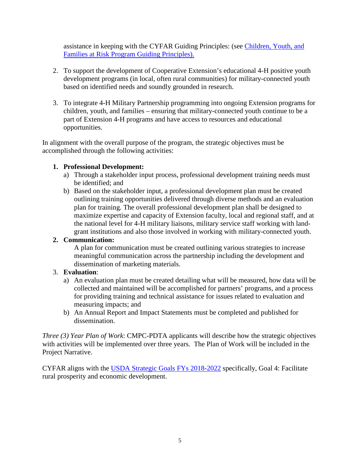assistance in keeping with the CYFAR Guiding Principles: (see [Children, Youth, and](https://nifa.usda.gov/sites/default/files/program/CYFAR%20guiding_principles.pdf)  [Families at Risk Program Guiding Principles\)](https://nifa.usda.gov/sites/default/files/program/CYFAR%20guiding_principles.pdf).

- 2. To support the development of Cooperative Extension's educational 4-H positive youth development programs (in local, often rural communities) for military-connected youth based on identified needs and soundly grounded in research.
- 3. To integrate 4-H Military Partnership programming into ongoing Extension programs for children, youth, and families – ensuring that military-connected youth continue to be a part of Extension 4-H programs and have access to resources and educational opportunities.

In alignment with the overall purpose of the program, the strategic objectives must be accomplished through the following activities:

#### **1. Professional Development:**

- a) Through a stakeholder input process, professional development training needs must be identified; and
- b) Based on the stakeholder input, a professional development plan must be created outlining training opportunities delivered through diverse methods and an evaluation plan for training. The overall professional development plan shall be designed to maximize expertise and capacity of Extension faculty, local and regional staff, and at the national level for 4-H military liaisons, military service staff working with landgrant institutions and also those involved in working with military-connected youth.

# **2. Communication:**

A plan for communication must be created outlining various strategies to increase meaningful communication across the partnership including the development and dissemination of marketing materials.

#### 3. **Evaluation**:

- a) An evaluation plan must be created detailing what will be measured, how data will be collected and maintained will be accomplished for partners' programs, and a process for providing training and technical assistance for issues related to evaluation and measuring impacts; and
- b) An Annual Report and Impact Statements must be completed and published for dissemination.

*Three (3) Year Plan of Work*: CMPC-PDTA applicants will describe how the strategic objectives with activities will be implemented over three years. The Plan of Work will be included in the Project Narrative.

CYFAR aligns with the [USDA Strategic Goals FYs 2018-2022](https://www.usda.gov/our-agency/about-usda/strategic-goals) specifically, Goal 4: Facilitate rural prosperity and economic development.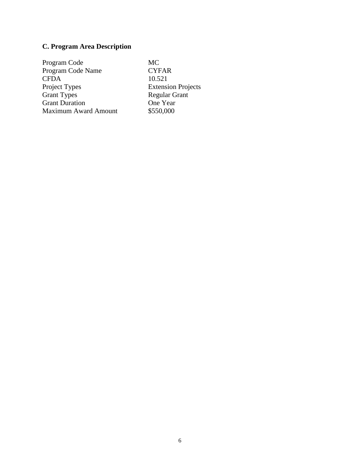# <span id="page-5-0"></span>**C. Program Area Description**

Program Code MC Program Code Name CYFAR<br>CFDA 10.521 CFDA<br>Project Types Project Types<br>
Grant Types<br>
Extension Projects<br>
Regular Grant Grant Duration<br>
Grant Duration<br>
Maximum Award Amount<br>
\$550,000 Maximum Award Amount

Regular Grant<br>One Year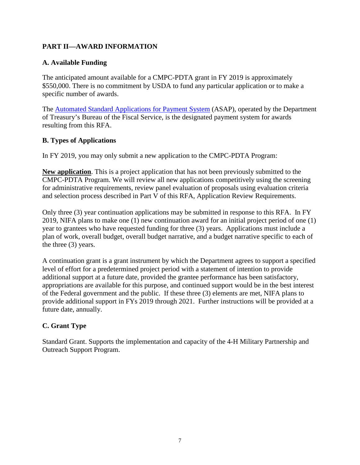# <span id="page-6-0"></span>**PART II—AWARD INFORMATION**

#### <span id="page-6-1"></span>**A. Available Funding**

The anticipated amount available for a CMPC-PDTA grant in FY 2019 is approximately \$550,000. There is no commitment by USDA to fund any particular application or to make a specific number of awards.

The **[Automated Standard Applications for Payment System](https://www.fiscal.treasury.gov/asap/) (ASAP)**, operated by the Department of Treasury's Bureau of the Fiscal Service, is the designated payment system for awards resulting from this RFA.

#### <span id="page-6-2"></span>**B. Types of Applications**

In FY 2019, you may only submit a new application to the CMPC-PDTA Program:

**New application**. This is a project application that has not been previously submitted to the CMPC-PDTA Program. We will review all new applications competitively using the screening for administrative requirements, review panel evaluation of proposals using evaluation criteria and selection process described in Part V of this RFA, Application Review Requirements.

Only three (3) year continuation applications may be submitted in response to this RFA. In FY 2019, NIFA plans to make one (1) new continuation award for an initial project period of one (1) year to grantees who have requested funding for three (3) years. Applications must include a plan of work, overall budget, overall budget narrative, and a budget narrative specific to each of the three (3) years.

A continuation grant is a grant instrument by which the Department agrees to support a specified level of effort for a predetermined project period with a statement of intention to provide additional support at a future date, provided the grantee performance has been satisfactory, appropriations are available for this purpose, and continued support would be in the best interest of the Federal government and the public. If these three (3) elements are met, NIFA plans to provide additional support in FYs 2019 through 2021. Further instructions will be provided at a future date, annually.

#### <span id="page-6-3"></span>**C. Grant Type**

<span id="page-6-4"></span>Standard Grant. Supports the implementation and capacity of the 4-H Military Partnership and Outreach Support Program.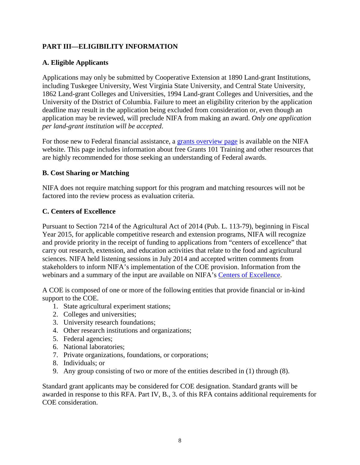# **PART III—ELIGIBILITY INFORMATION**

#### <span id="page-7-0"></span>**A. Eligible Applicants**

Applications may only be submitted by Cooperative Extension at 1890 Land-grant Institutions, including Tuskegee University, West Virginia State University, and Central State University, 1862 Land-grant Colleges and Universities, 1994 Land-grant Colleges and Universities, and the University of the District of Columbia. Failure to meet an eligibility criterion by the application deadline may result in the application being excluded from consideration or, even though an application may be reviewed, will preclude NIFA from making an award. *Only one application per land-grant institution will be accepted*.

For those new to Federal financial assistance, a [grants overview page](https://nifa.usda.gov/resource/grants-overview) is available on the NIFA website. This page includes information about free Grants 101 Training and other resources that are highly recommended for those seeking an understanding of Federal awards.

#### <span id="page-7-1"></span>**B. Cost Sharing or Matching**

NIFA does not require matching support for this program and matching resources will not be factored into the review process as evaluation criteria.

#### <span id="page-7-2"></span>**C. Centers of Excellence**

Pursuant to Section 7214 of the Agricultural Act of 2014 (Pub. L. 113-79), beginning in Fiscal Year 2015, for applicable competitive research and extension programs, NIFA will recognize and provide priority in the receipt of funding to applications from "centers of excellence" that carry out research, extension, and education activities that relate to the food and agricultural sciences. NIFA held listening sessions in July 2014 and accepted written comments from stakeholders to inform NIFA's implementation of the COE provision. Information from the webinars and a summary of the input are available on NIFA's [Centers of Excellence.](https://nifa.usda.gov/centers-excellence)

A COE is composed of one or more of the following entities that provide financial or in-kind support to the COE.

- 1. State agricultural experiment stations;
- 2. Colleges and universities;
- 3. University research foundations;
- 4. Other research institutions and organizations;
- 5. Federal agencies;
- 6. National laboratories;
- 7. Private organizations, foundations, or corporations;
- 8. Individuals; or
- 9. Any group consisting of two or more of the entities described in (1) through (8).

Standard grant applicants may be considered for COE designation. Standard grants will be awarded in response to this RFA. Part IV, B., 3. of this RFA contains additional requirements for COE consideration.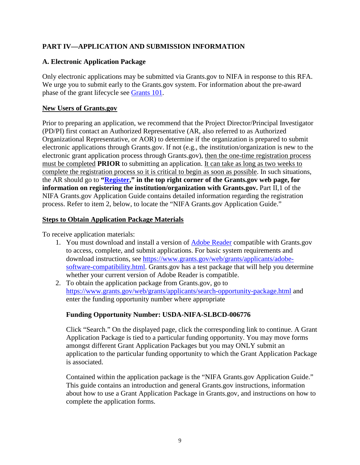# <span id="page-8-0"></span>**PART IV—APPLICATION AND SUBMISSION INFORMATION**

#### <span id="page-8-1"></span>**A. Electronic Application Package**

Only electronic applications may be submitted via Grants.gov to NIFA in response to this RFA. We urge you to submit early to the Grants.gov system. For information about the pre-award phase of the grant lifecycle see [Grants 101.](https://www.grants.gov/web/grants/learn-grants/grants-101/pre-award-phase.html)

#### **New Users of Grants.gov**

Prior to preparing an application, we recommend that the Project Director/Principal Investigator (PD/PI) first contact an Authorized Representative (AR, also referred to as Authorized Organizational Representative, or AOR) to determine if the organization is prepared to submit electronic applications through Grants.gov. If not (e.g., the institution/organization is new to the electronic grant application process through Grants.gov), then the one-time registration process must be completed **PRIOR** to submitting an application. It can take as long as two weeks to complete the registration process so it is critical to begin as soon as possible. In such situations, the AR should go to **["Register,](https://www.grants.gov/web/grants/register.html)" in the top right corner of the Grants.gov web page, for information on registering the institution/organization with Grants.gov.** Part II,1 of the NIFA Grants.gov Application Guide contains detailed information regarding the registration process. Refer to item 2, below, to locate the "NIFA Grants.gov Application Guide."

#### **Steps to Obtain Application Package Materials**

To receive application materials:

- 1. You must download and install a version of [Adobe Reader](https://get.adobe.com/reader/) compatible with Grants.gov to access, complete, and submit applications. For basic system requirements and download instructions, see [https://www.grants.gov/web/grants/applicants/adobe](https://www.grants.gov/web/grants/applicants/adobe-software-compatibility.html)[software-compatibility.html.](https://www.grants.gov/web/grants/applicants/adobe-software-compatibility.html) Grants.gov has a test package that will help you determine whether your current version of Adobe Reader is compatible.
- 2. To obtain the application package from Grants.gov, go to <https://www.grants.gov/web/grants/applicants/search-opportunity-package.html> and enter the funding opportunity number where appropriate

#### **Funding Opportunity Number: USDA-NIFA-SLBCD-006776**

Click "Search." On the displayed page, click the corresponding link to continue. A Grant Application Package is tied to a particular funding opportunity. You may move forms amongst different Grant Application Packages but you may ONLY submit an application to the particular funding opportunity to which the Grant Application Package is associated.

Contained within the application package is the "NIFA Grants.gov Application Guide." This guide contains an introduction and general Grants.gov instructions, information about how to use a Grant Application Package in Grants.gov, and instructions on how to complete the application forms.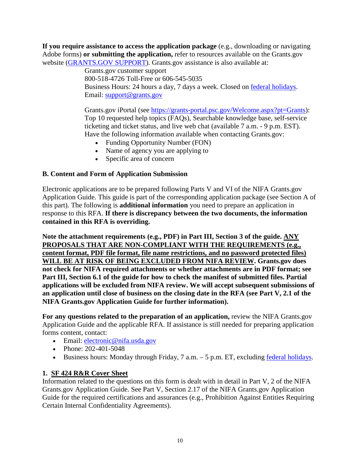**If you require assistance to access the application package** (e.g., downloading or navigating Adobe forms) **or submitting the application,** refer to resources available on the Grants.gov website [\(GRANTS.GOV SUPPORT\)](https://www.grants.gov/web/grants/support.html). Grants.gov assistance is also available at:

Grants.gov customer support 800-518-4726 Toll-Free or 606-545-5035 Business Hours: 24 hours a day, 7 days a week. Closed on [federal holidays.](https://www.opm.gov/policy-data-oversight/snow-dismissal-procedures/federal-holidays/) Email: [support@grants.gov](mailto:support@grants.gov)

Grants.gov iPortal (see [https://grants-portal.psc.gov/Welcome.aspx?pt=Grants\)](https://grants-portal.psc.gov/Welcome.aspx?pt=Grants): Top 10 requested help topics (FAQs), Searchable knowledge base, self-service ticketing and ticket status, and live web chat (available 7 a.m. - 9 p.m. EST). Have the following information available when contacting Grants.gov:

- Funding Opportunity Number (FON)
- Name of agency you are applying to
- Specific area of concern

# <span id="page-9-0"></span>**B. Content and Form of Application Submission**

Electronic applications are to be prepared following Parts V and VI of the NIFA Grants.gov Application Guide. This guide is part of the corresponding application package (see Section A of this part). The following is **additional information** you need to prepare an application in response to this RFA. **If there is discrepancy between the two documents, the information contained in this RFA is overriding.**

**Note the attachment requirements (e.g., PDF) in Part III, Section 3 of the guide. ANY PROPOSALS THAT ARE NON-COMPLIANT WITH THE REQUIREMENTS (e.g., content format, PDF file format, file name restrictions, and no password protected files) WILL BE AT RISK OF BEING EXCLUDED FROM NIFA REVIEW. Grants.gov does not check for NIFA required attachments or whether attachments are in PDF format; see Part III, Section 6.1 of the guide for how to check the manifest of submitted files. Partial applications will be excluded from NIFA review. We will accept subsequent submissions of an application until close of business on the closing date in the RFA (see Part V, 2.1 of the NIFA Grants.gov Application Guide for further information).**

**For any questions related to the preparation of an application,** review the NIFA Grants.gov Application Guide and the applicable RFA. If assistance is still needed for preparing application forms content, contact:

- Email: electronic@nifa.usda.gov
- Phone: 202-401-5048
- Business hours: Monday through Friday,  $7$  a.m.  $-5$  p.m. ET, excluding [federal holidays.](https://www.opm.gov/policy-data-oversight/snow-dismissal-procedures/federal-holidays/)

# **1. SF 424 R&R Cover Sheet**

Information related to the questions on this form is dealt with in detail in Part V, 2 of the NIFA Grants.gov Application Guide. See Part V, Section 2.17 of the NIFA Grants.gov Application Guide for the required certifications and assurances (e.g., Prohibition Against Entities Requiring Certain Internal Confidentiality Agreements).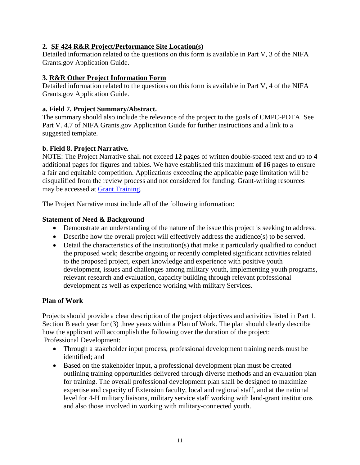# **2. SF 424 R&R Project/Performance Site Location(s)**

Detailed information related to the questions on this form is available in Part V, 3 of the NIFA Grants.gov Application Guide.

#### **3. R&R Other Project Information Form**

Detailed information related to the questions on this form is available in Part V, 4 of the NIFA Grants.gov Application Guide.

#### **a. Field 7. Project Summary/Abstract.**

The summary should also include the relevance of the project to the goals of CMPC-PDTA. See Part V. 4.7 of NIFA Grants.gov Application Guide for further instructions and a link to a suggested template.

# **b. Field 8. Project Narrative.**

NOTE: The Project Narrative shall not exceed **12** pages of written double-spaced text and up to **4** additional pages for figures and tables. We have established this maximum **of 16** pages to ensure a fair and equitable competition. Applications exceeding the applicable page limitation will be disqualified from the review process and not considered for funding. Grant-writing resources may be accessed at [Grant Training.](https://nifa.usda.gov/grant-training)

The Project Narrative must include all of the following information:

#### **Statement of Need & Background**

- Demonstrate an understanding of the nature of the issue this project is seeking to address.
- Describe how the overall project will effectively address the audience(s) to be served.
- Detail the characteristics of the institution(s) that make it particularly qualified to conduct the proposed work; describe ongoing or recently completed significant activities related to the proposed project, expert knowledge and experience with positive youth development, issues and challenges among military youth, implementing youth programs, relevant research and evaluation, capacity building through relevant professional development as well as experience working with military Services.

# **Plan of Work**

Projects should provide a clear description of the project objectives and activities listed in Part 1, Section B each year for (3) three years within a Plan of Work. The plan should clearly describe how the applicant will accomplish the following over the duration of the project: Professional Development:

- Through a stakeholder input process, professional development training needs must be identified; and
- Based on the stakeholder input, a professional development plan must be created outlining training opportunities delivered through diverse methods and an evaluation plan for training. The overall professional development plan shall be designed to maximize expertise and capacity of Extension faculty, local and regional staff, and at the national level for 4-H military liaisons, military service staff working with land-grant institutions and also those involved in working with military-connected youth.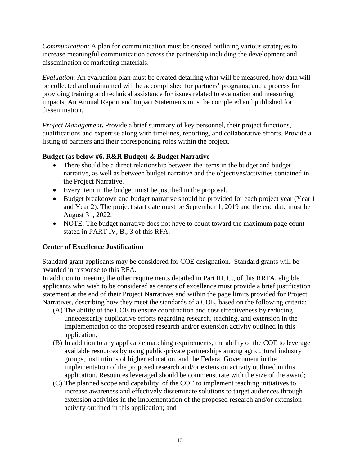*Communication*: A plan for communication must be created outlining various strategies to increase meaningful communication across the partnership including the development and dissemination of marketing materials.

*Evaluation*: An evaluation plan must be created detailing what will be measured, how data will be collected and maintained will be accomplished for partners' programs, and a process for providing training and technical assistance for issues related to evaluation and measuring impacts. An Annual Report and Impact Statements must be completed and published for dissemination.

*Project Management***.** Provide a brief summary of key personnel, their project functions, qualifications and expertise along with timelines, reporting, and collaborative efforts. Provide a listing of partners and their corresponding roles within the project.

#### **Budget (as below #6. R&R Budget) & Budget Narrative**

- There should be a direct relationship between the items in the budget and budget narrative, as well as between budget narrative and the objectives/activities contained in the Project Narrative.
- Every item in the budget must be justified in the proposal.
- Budget breakdown and budget narrative should be provided for each project year (Year 1) and Year 2). The project start date must be September 1, 2019 and the end date must be August 31, 2022.
- NOTE: The budget narrative does not have to count toward the maximum page count stated in PART IV, B., 3 of this RFA.

# **Center of Excellence Justification**

Standard grant applicants may be considered for COE designation. Standard grants will be awarded in response to this RFA.

In addition to meeting the other requirements detailed in Part III, C., of this RRFA, eligible applicants who wish to be considered as centers of excellence must provide a brief justification statement at the end of their Project Narratives and within the page limits provided for Project Narratives, describing how they meet the standards of a COE, based on the following criteria:

- (A) The ability of the COE to ensure coordination and cost effectiveness by reducing unnecessarily duplicative efforts regarding research, teaching, and extension in the implementation of the proposed research and/or extension activity outlined in this application;
- (B) In addition to any applicable matching requirements, the ability of the COE to leverage available resources by using public-private partnerships among agricultural industry groups, institutions of higher education, and the Federal Government in the implementation of the proposed research and/or extension activity outlined in this application. Resources leveraged should be commensurate with the size of the award;
- (C) The planned scope and capability of the COE to implement teaching initiatives to increase awareness and effectively disseminate solutions to target audiences through extension activities in the implementation of the proposed research and/or extension activity outlined in this application; and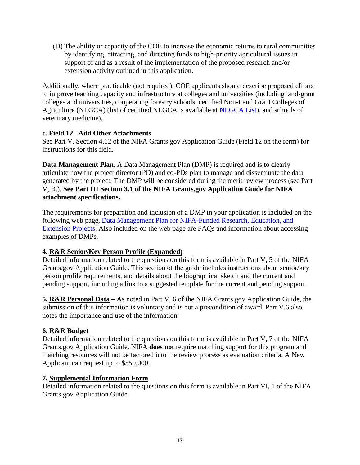(D) The ability or capacity of the COE to increase the economic returns to rural communities by identifying, attracting, and directing funds to high-priority agricultural issues in support of and as a result of the implementation of the proposed research and/or extension activity outlined in this application.

Additionally, where practicable (not required), COE applicants should describe proposed efforts to improve teaching capacity and infrastructure at colleges and universities (including land-grant colleges and universities, cooperating forestry schools, certified Non-Land Grant Colleges of Agriculture (NLGCA) (list of certified NLGCA is available at [NLGCA List\)](https://nifa.usda.gov/resource/nlgca-list), and schools of veterinary medicine).

#### **c. Field 12. Add Other Attachments**

See Part V. Section 4.12 of the NIFA Grants.gov Application Guide (Field 12 on the form) for instructions for this field.

**Data Management Plan.** A Data Management Plan (DMP) is required and is to clearly articulate how the project director (PD) and co-PDs plan to manage and disseminate the data generated by the project. The DMP will be considered during the merit review process (see Part V, B.). **See Part III Section 3.1 of the NIFA Grants.gov Application Guide for NIFA attachment specifications.** 

The requirements for preparation and inclusion of a DMP in your application is included on the following web page, [Data Management Plan for NIFA-Funded Research, Education, and](https://nifa.usda.gov/resource/data-management-plan-nifa-funded-research-projects)  [Extension Projects.](https://nifa.usda.gov/resource/data-management-plan-nifa-funded-research-projects) Also included on the web page are FAQs and information about accessing examples of DMPs.

# **4. R&R Senior/Key Person Profile (Expanded)**

Detailed information related to the questions on this form is available in Part V, 5 of the NIFA Grants.gov Application Guide. This section of the guide includes instructions about senior/key person profile requirements, and details about the biographical sketch and the current and pending support, including a link to a suggested template for the current and pending support.

**5. R&R Personal Data –** As noted in Part V, 6 of the NIFA Grants.gov Application Guide, the submission of this information is voluntary and is not a precondition of award. Part V.6 also notes the importance and use of the information.

# **6. R&R Budget**

Detailed information related to the questions on this form is available in Part V, 7 of the NIFA Grants.gov Application Guide. NIFA **does not** require matching support for this program and matching resources will not be factored into the review process as evaluation criteria. A New Applicant can request up to \$550,000.

# **7. Supplemental Information Form**

Detailed information related to the questions on this form is available in Part VI, 1 of the NIFA Grants.gov Application Guide.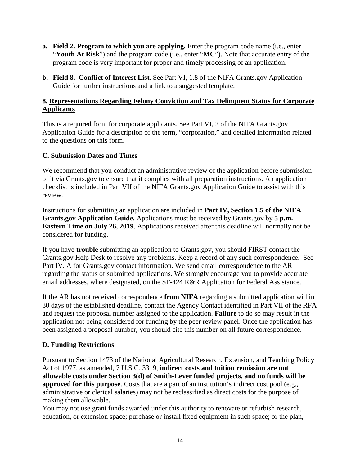- **a. Field 2. Program to which you are applying.** Enter the program code name (i.e., enter "**Youth At Risk**") and the program code (i.e., enter "**MC**"). Note that accurate entry of the program code is very important for proper and timely processing of an application.
- **b. Field 8. Conflict of Interest List**. See Part VI, 1.8 of the NIFA Grants.gov Application Guide for further instructions and a link to a suggested template.

#### **8. Representations Regarding Felony Conviction and Tax Delinquent Status for Corporate Applicants**

This is a required form for corporate applicants. See Part VI, 2 of the NIFA Grants.gov Application Guide for a description of the term, "corporation," and detailed information related to the questions on this form.

#### <span id="page-13-0"></span>**C. Submission Dates and Times**

We recommend that you conduct an administrative review of the application before submission of it via Grants.gov to ensure that it complies with all preparation instructions. An application checklist is included in Part VII of the NIFA Grants.gov Application Guide to assist with this review.

Instructions for submitting an application are included in **Part IV, Section 1.5 of the NIFA Grants.gov Application Guide.** Applications must be received by Grants.gov by **5 p.m. Eastern Time on July 26, 2019**. Applications received after this deadline will normally not be considered for funding.

If you have **trouble** submitting an application to Grants.gov, you should FIRST contact the Grants.gov Help Desk to resolve any problems. Keep a record of any such correspondence. See Part IV. A for Grants.gov contact information. We send email correspondence to the AR regarding the status of submitted applications. We strongly encourage you to provide accurate email addresses, where designated, on the SF-424 R&R Application for Federal Assistance.

If the AR has not received correspondence **from NIFA** regarding a submitted application within 30 days of the established deadline, contact the Agency Contact identified in Part VII of the RFA and request the proposal number assigned to the application. **Failure** to do so may result in the application not being considered for funding by the peer review panel. Once the application has been assigned a proposal number, you should cite this number on all future correspondence.

# <span id="page-13-1"></span>**D. Funding Restrictions**

Pursuant to Section 1473 of the National Agricultural Research, Extension, and Teaching Policy Act of 1977, as amended, 7 U.S.C. 3319, **indirect costs and tuition remission are not allowable costs under Section 3(d) of Smith-Lever funded projects, and no funds will be approved for this purpose**. Costs that are a part of an institution's indirect cost pool (e.g., administrative or clerical salaries) may not be reclassified as direct costs for the purpose of making them allowable.

You may not use grant funds awarded under this authority to renovate or refurbish research, education, or extension space; purchase or install fixed equipment in such space; or the plan,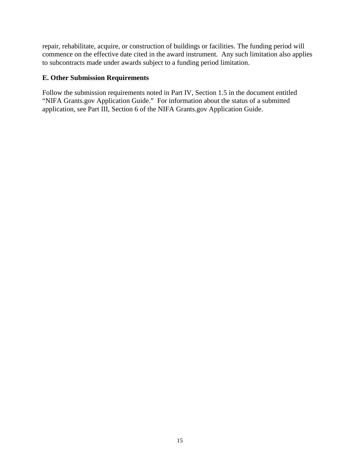repair, rehabilitate, acquire, or construction of buildings or facilities. The funding period will commence on the effective date cited in the award instrument. Any such limitation also applies to subcontracts made under awards subject to a funding period limitation.

#### <span id="page-14-0"></span>**E. Other Submission Requirements**

Follow the submission requirements noted in Part IV, Section 1.5 in the document entitled "NIFA Grants.gov Application Guide." For information about the status of a submitted application, see Part III, Section 6 of the NIFA Grants.gov Application Guide.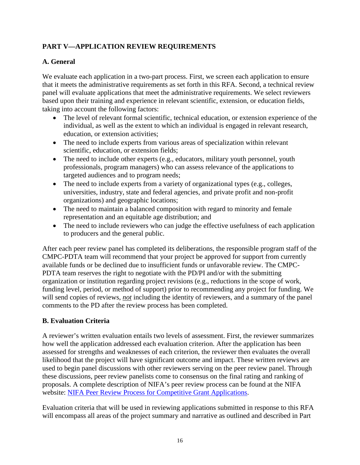# <span id="page-15-0"></span>**PART V—APPLICATION REVIEW REQUIREMENTS**

# <span id="page-15-1"></span>**A. General**

We evaluate each application in a two-part process. First, we screen each application to ensure that it meets the administrative requirements as set forth in this RFA. Second, a technical review panel will evaluate applications that meet the administrative requirements. We select reviewers based upon their training and experience in relevant scientific, extension, or education fields, taking into account the following factors:

- The level of relevant formal scientific, technical education, or extension experience of the individual, as well as the extent to which an individual is engaged in relevant research, education, or extension activities;
- The need to include experts from various areas of specialization within relevant scientific, education, or extension fields;
- The need to include other experts (e.g., educators, military youth personnel, youth professionals, program managers) who can assess relevance of the applications to targeted audiences and to program needs;
- The need to include experts from a variety of organizational types (e.g., colleges, universities, industry, state and federal agencies, and private profit and non-profit organizations) and geographic locations;
- The need to maintain a balanced composition with regard to minority and female representation and an equitable age distribution; and
- The need to include reviewers who can judge the effective usefulness of each application to producers and the general public.

After each peer review panel has completed its deliberations, the responsible program staff of the CMPC-PDTA team will recommend that your project be approved for support from currently available funds or be declined due to insufficient funds or unfavorable review. The CMPC-PDTA team reserves the right to negotiate with the PD/PI and/or with the submitting organization or institution regarding project revisions (e.g., reductions in the scope of work, funding level, period, or method of support) prior to recommending any project for funding. We will send copies of reviews, *not* including the identity of reviewers, and a summary of the panel comments to the PD after the review process has been completed.

# <span id="page-15-2"></span>**B. Evaluation Criteria**

A reviewer's written evaluation entails two levels of assessment. First, the reviewer summarizes how well the application addressed each evaluation criterion. After the application has been assessed for strengths and weaknesses of each criterion, the reviewer then evaluates the overall likelihood that the project will have significant outcome and impact. These written reviews are used to begin panel discussions with other reviewers serving on the peer review panel. Through these discussions, peer review panelists come to consensus on the final rating and ranking of proposals. A complete description of NIFA's peer review process can be found at the NIFA website: [NIFA Peer Review Process for Competitive Grant Applications.](https://nifa.usda.gov/resource/nifa-peer-review-process-competitive-grant-applications)

Evaluation criteria that will be used in reviewing applications submitted in response to this RFA will encompass all areas of the project summary and narrative as outlined and described in Part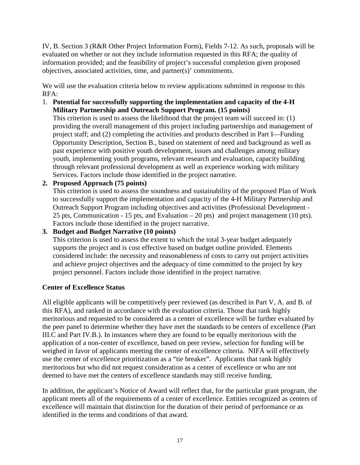IV, B. Section 3 (R&R Other Project Information Form), Fields 7-12. As such, proposals will be evaluated on whether or not they include information requested in this RFA; the quality of information provided; and the feasibility of project's successful completion given proposed objectives, associated activities, time, and partner(s)' commitments.

We will use the evaluation criteria below to review applications submitted in response to this RFA:

1. **Potential for successfully supporting the implementation and capacity of the 4-H Military Partnership and Outreach Support Program. (15 points)**

This criterion is used to assess the likelihood that the project team will succeed in: (1) providing the overall management of this project including partnerships and management of project staff; and (2) completing the activities and products described in Part I—Funding Opportunity Description, Section B., based on statement of need and background as well as past experience with positive youth development, issues and challenges among military youth, implementing youth programs, relevant research and evaluation, capacity building through relevant professional development as well as experience working with military Services. Factors include those identified in the project narrative.

**2. Proposed Approach (75 points)** 

This criterion is used to assess the soundness and sustainability of the proposed Plan of Work to successfully support the implementation and capacity of the 4-H Military Partnership and Outreach Support Program including objectives and activities (Professional Development - 25 pts, Communication - 15 pts, and Evaluation – 20 pts) and project management (10 pts). Factors include those identified in the project narrative.

**3. Budget and Budget Narrative (10 points)** 

This criterion is used to assess the extent to which the total 3-year budget adequately supports the project and is cost effective based on budget outline provided. Elements considered include: the necessity and reasonableness of costs to carry out project activities and achieve project objectives and the adequacy of time committed to the project by key project personnel. Factors include those identified in the project narrative.

#### **Center of Excellence Status**

All eligible applicants will be competitively peer reviewed (as described in Part V, A. and B. of this RFA), and ranked in accordance with the evaluation criteria. Those that rank highly meritorious and requested to be considered as a center of excellence will be further evaluated by the peer panel to determine whether they have met the standards to be centers of excellence (Part III.C and Part IV.B.). In instances where they are found to be equally meritorious with the application of a non-center of excellence, based on peer review, selection for funding will be weighed in favor of applicants meeting the center of excellence criteria. NIFA will effectively use the center of excellence prioritization as a "tie breaker". Applicants that rank highly meritorious but who did not request consideration as a center of excellence or who are not deemed to have met the centers of excellence standards may still receive funding.

In addition, the applicant's Notice of Award will reflect that, for the particular grant program, the applicant meets all of the requirements of a center of excellence. Entities recognized as centers of excellence will maintain that distinction for the duration of their period of performance or as identified in the terms and conditions of that award.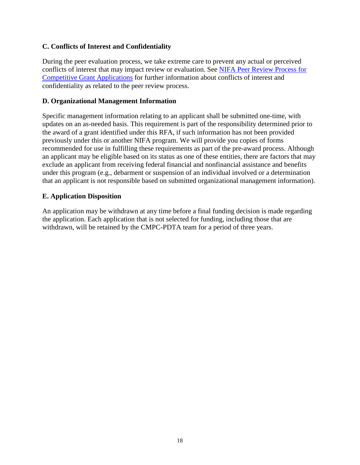#### <span id="page-17-0"></span>**C. Conflicts of Interest and Confidentiality**

During the peer evaluation process, we take extreme care to prevent any actual or perceived conflicts of interest that may impact review or evaluation. See [NIFA Peer Review Process for](https://nifa.usda.gov/resource/nifa-peer-review-process-competitive-grant-applications)  [Competitive Grant Applications](https://nifa.usda.gov/resource/nifa-peer-review-process-competitive-grant-applications) for further information about conflicts of interest and confidentiality as related to the peer review process.

#### <span id="page-17-1"></span>**D. Organizational Management Information**

Specific management information relating to an applicant shall be submitted one-time, with updates on an as-needed basis. This requirement is part of the responsibility determined prior to the award of a grant identified under this RFA, if such information has not been provided previously under this or another NIFA program. We will provide you copies of forms recommended for use in fulfilling these requirements as part of the pre-award process. Although an applicant may be eligible based on its status as one of these entities, there are factors that may exclude an applicant from receiving federal financial and nonfinancial assistance and benefits under this program (e.g., debarment or suspension of an individual involved or a determination that an applicant is not responsible based on submitted organizational management information).

#### <span id="page-17-2"></span>**E. Application Disposition**

An application may be withdrawn at any time before a final funding decision is made regarding the application. Each application that is not selected for funding, including those that are withdrawn, will be retained by the CMPC-PDTA team for a period of three years.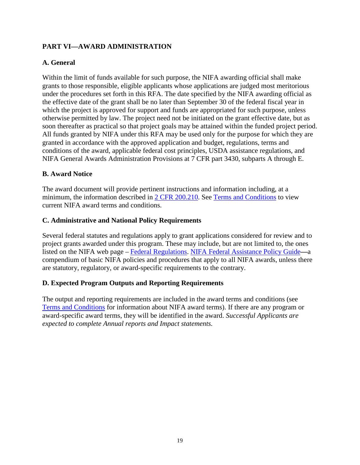# <span id="page-18-0"></span>**PART VI—AWARD ADMINISTRATION**

# <span id="page-18-1"></span>**A. General**

Within the limit of funds available for such purpose, the NIFA awarding official shall make grants to those responsible, eligible applicants whose applications are judged most meritorious under the procedures set forth in this RFA. The date specified by the NIFA awarding official as the effective date of the grant shall be no later than September 30 of the federal fiscal year in which the project is approved for support and funds are appropriated for such purpose, unless otherwise permitted by law. The project need not be initiated on the grant effective date, but as soon thereafter as practical so that project goals may be attained within the funded project period. All funds granted by NIFA under this RFA may be used only for the purpose for which they are granted in accordance with the approved application and budget, regulations, terms and conditions of the award, applicable federal cost principles, USDA assistance regulations, and NIFA General Awards Administration Provisions at 7 CFR part 3430, subparts A through E.

#### <span id="page-18-2"></span>**B. Award Notice**

The award document will provide pertinent instructions and information including, at a minimum, the information described in [2 CFR 200.210.](https://www.ecfr.gov/cgi-bin/text-idx?SID=70b44cfc44976f4a7742464f7cfbb37e&mc=true&node=se2.1.200_1210&rgn=div8) See [Terms and Conditions](https://nifa.usda.gov/terms-and-conditions) to view current NIFA award terms and conditions.

#### <span id="page-18-3"></span>**C. Administrative and National Policy Requirements**

Several federal statutes and regulations apply to grant applications considered for review and to project grants awarded under this program. These may include, but are not limited to, the ones listed on the NIFA web page – [Federal Regulations.](https://nifa.usda.gov/federal-regulations) [NIFA Federal Assistance Policy Guide](https://nifa.usda.gov/policy-guide)**—**a compendium of basic NIFA policies and procedures that apply to all NIFA awards, unless there are statutory, regulatory, or award-specific requirements to the contrary.

#### <span id="page-18-4"></span>**D. Expected Program Outputs and Reporting Requirements**

The output and reporting requirements are included in the award terms and conditions (see [Terms and Conditions](https://nifa.usda.gov/terms-and-conditions) for information about NIFA award terms). If there are any program or award-specific award terms, they will be identified in the award. *Successful Applicants are expected to complete Annual reports and Impact statements.*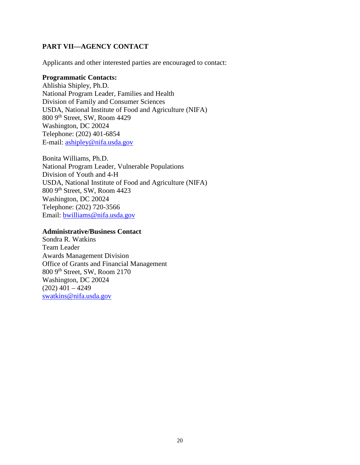# <span id="page-19-0"></span>**PART VII—AGENCY CONTACT**

Applicants and other interested parties are encouraged to contact:

#### **Programmatic Contacts:**

Ahlishia Shipley, Ph.D. National Program Leader, Families and Health Division of Family and Consumer Sciences USDA, National Institute of Food and Agriculture (NIFA) 800 9th Street, SW, Room 4429 Washington, DC 20024 Telephone: (202) 401-6854 E-mail: [ashipley@nifa.usda.gov](mailto:ashipley@nifa.usda.gov)

Bonita Williams, Ph.D. National Program Leader, Vulnerable Populations Division of Youth and 4-H USDA, National Institute of Food and Agriculture (NIFA) 800 9th Street, SW, Room 4423 Washington, DC 20024 Telephone: (202) 720-3566 Email: [bwilliams@nifa.usda.gov](mailto:bwilliams@nifa.usda.gov)

#### **Administrative/Business Contact**

Sondra R. Watkins Team Leader Awards Management Division Office of Grants and Financial Management 800 9th Street, SW, Room 2170 Washington, DC 20024  $(202)$  401 – 4249 [swatkins@nifa.usda.gov](mailto:swatkins@nifa.usda.gov)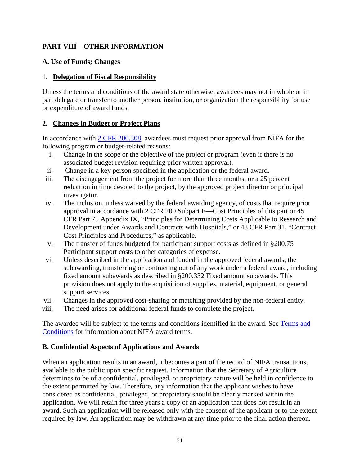# <span id="page-20-0"></span>**PART VIII—OTHER INFORMATION**

#### <span id="page-20-1"></span>**A. Use of Funds; Changes**

#### 1. **Delegation of Fiscal Responsibility**

Unless the terms and conditions of the award state otherwise, awardees may not in whole or in part delegate or transfer to another person, institution, or organization the responsibility for use or expenditure of award funds.

# **2. Changes in Budget or Project Plans**

In accordance with [2 CFR 200.308,](https://www.ecfr.gov/cgi-bin/text-idx?SID=3af89506559b05297e7d0334cb283e24&mc=true&node=se2.1.200_1308&rgn=div8) awardees must request prior approval from NIFA for the following program or budget-related reasons:

- i. Change in the scope or the objective of the project or program (even if there is no associated budget revision requiring prior written approval).
- ii. Change in a key person specified in the application or the federal award.
- iii. The disengagement from the project for more than three months, or a 25 percent reduction in time devoted to the project, by the approved project director or principal investigator.
- iv. The inclusion, unless waived by the federal awarding agency, of costs that require prior approval in accordance with 2 CFR 200 Subpart E—Cost Principles of this part or 45 CFR Part 75 Appendix IX, "Principles for Determining Costs Applicable to Research and Development under Awards and Contracts with Hospitals," or 48 CFR Part 31, "Contract Cost Principles and Procedures," as applicable.
- v. The transfer of funds budgeted for participant support costs as defined in §200.75 Participant support costs to other categories of expense.
- vi. Unless described in the application and funded in the approved federal awards, the subawarding, transferring or contracting out of any work under a federal award, including fixed amount subawards as described in §200.332 Fixed amount subawards. This provision does not apply to the acquisition of supplies, material, equipment, or general support services.
- vii. Changes in the approved cost-sharing or matching provided by the non-federal entity.
- viii. The need arises for additional federal funds to complete the project.

The awardee will be subject to the terms and conditions identified in the award. See [Terms and](https://nifa.usda.gov/terms-and-conditions)  [Conditions](https://nifa.usda.gov/terms-and-conditions) for information about NIFA award terms.

# <span id="page-20-2"></span>**B. Confidential Aspects of Applications and Awards**

When an application results in an award, it becomes a part of the record of NIFA transactions, available to the public upon specific request. Information that the Secretary of Agriculture determines to be of a confidential, privileged, or proprietary nature will be held in confidence to the extent permitted by law. Therefore, any information that the applicant wishes to have considered as confidential, privileged, or proprietary should be clearly marked within the application. We will retain for three years a copy of an application that does not result in an award. Such an application will be released only with the consent of the applicant or to the extent required by law. An application may be withdrawn at any time prior to the final action thereon.